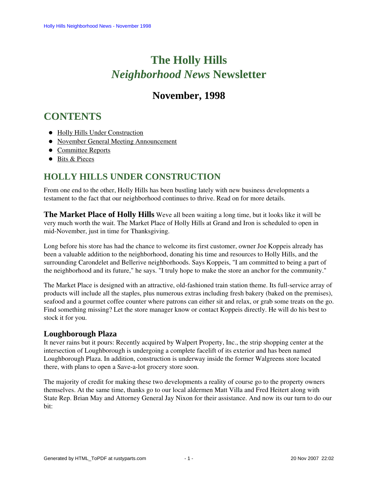# **The Holly Hills**  *Neighborhood News* **Newsletter**

# **November, 1998**

# <span id="page-0-1"></span>**CONTENTS**

- [Holly Hills Under Construction](#page-0-0)
- [November General Meeting Announcement](#page-1-0)
- [Committee Reports](#page-1-1)
- [Bits & Pieces](#page-3-0)

# <span id="page-0-0"></span>**HOLLY HILLS UNDER CONSTRUCTION**

From one end to the other, Holly Hills has been bustling lately with new business developments a testament to the fact that our neighborhood continues to thrive. Read on for more details.

**The Market Place of Holly Hills** Weve all been waiting a long time, but it looks like it will be very much worth the wait. The Market Place of Holly Hills at Grand and Iron is scheduled to open in mid-November, just in time for Thanksgiving.

Long before his store has had the chance to welcome its first customer, owner Joe Koppeis already has been a valuable addition to the neighborhood, donating his time and resources to Holly Hills, and the surrounding Carondelet and Bellerive neighborhoods. Says Koppeis, "I am committed to being a part of the neighborhood and its future," he says. "I truly hope to make the store an anchor for the community."

The Market Place is designed with an attractive, old-fashioned train station theme. Its full-service array of products will include all the staples, plus numerous extras including fresh bakery (baked on the premises), seafood and a gourmet coffee counter where patrons can either sit and relax, or grab some treats on the go. Find something missing? Let the store manager know or contact Koppeis directly. He will do his best to stock it for you.

#### **Loughborough Plaza**

It never rains but it pours: Recently acquired by Walpert Property, Inc., the strip shopping center at the intersection of Loughborough is undergoing a complete facelift of its exterior and has been named Loughborough Plaza. In addition, construction is underway inside the former Walgreens store located there, with plans to open a Save-a-lot grocery store soon.

The majority of credit for making these two developments a reality of course go to the property owners themselves. At the same time, thanks go to our local aldermen Matt Villa and Fred Heitert along with State Rep. Brian May and Attorney General Jay Nixon for their assistance. And now its our turn to do our bit: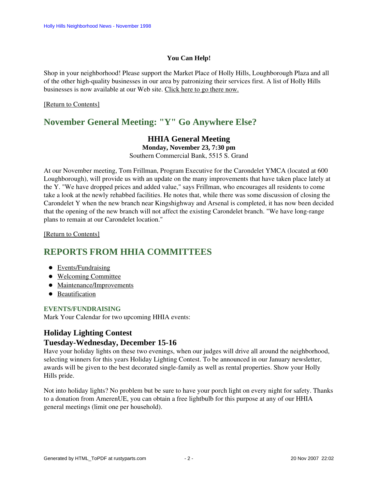#### **You Can Help!**

Shop in your neighborhood! Please support the Market Place of Holly Hills, Loughborough Plaza and all of the other high-quality businesses in our area by patronizing their services first. A list of Holly Hills businesses is now available at our Web site. Click here to go there now.

#### <span id="page-1-0"></span>[\[Return to Contents\]](#page-0-1)

# **November General Meeting: "Y" Go Anywhere Else?**

### **HHIA General Meeting Monday, November 23, 7:30 pm**

Southern Commercial Bank, 5515 S. Grand

At our November meeting, Tom Frillman, Program Executive for the Carondelet YMCA (located at 600 Loughborough), will provide us with an update on the many improvements that have taken place lately at the Y. "We have dropped prices and added value," says Frillman, who encourages all residents to come take a look at the newly rehabbed facilities. He notes that, while there was some discussion of closing the Carondelet Y when the new branch near Kingshighway and Arsenal is completed, it has now been decided that the opening of the new branch will not affect the existing Carondelet branch. "We have long-range plans to remain at our Carondelet location."

#### [\[Return to Contents\]](#page-0-1)

# <span id="page-1-3"></span><span id="page-1-1"></span>**REPORTS FROM HHIA COMMITTEES**

- [Events/Fundraising](#page-1-2)
- [Welcoming Committee](#page-2-0)
- [Maintenance/Improvements](#page-2-1)
- [Beautification](#page-2-2)

#### <span id="page-1-2"></span>**EVENTS/FUNDRAISING**

Mark Your Calendar for two upcoming HHIA events:

### **Holiday Lighting Contest Tuesday-Wednesday, December 15-16**

Have your holiday lights on these two evenings, when our judges will drive all around the neighborhood, selecting winners for this years Holiday Lighting Contest. To be announced in our January newsletter, awards will be given to the best decorated single-family as well as rental properties. Show your Holly Hills pride.

Not into holiday lights? No problem but be sure to have your porch light on every night for safety. Thanks to a donation from AmerenUE, you can obtain a free lightbulb for this purpose at any of our HHIA general meetings (limit one per household).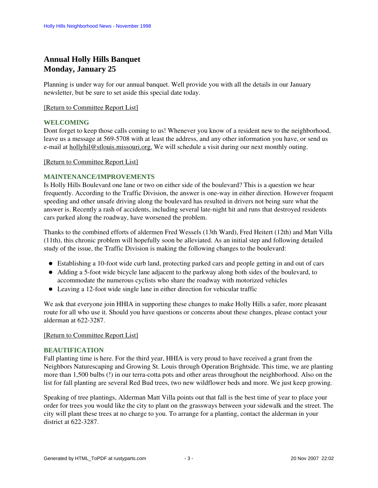# **Annual Holly Hills Banquet Monday, January 25**

Planning is under way for our annual banquet. Well provide you with all the details in our January newsletter, but be sure to set aside this special date today.

#### [\[Return to Committee Report List\]](#page-1-3)

#### <span id="page-2-0"></span>**WELCOMING**

Dont forget to keep those calls coming to us! Whenever you know of a resident new to the neighborhood, leave us a message at 569-5708 with at least the address, and any other information you have, or send us e-mail at hollyhil@stlouis.missouri.org. We will schedule a visit during our next monthly outing.

#### [\[Return to Committee Report List\]](#page-1-3)

#### <span id="page-2-1"></span>**MAINTENANCE/IMPROVEMENTS**

Is Holly Hills Boulevard one lane or two on either side of the boulevard? This is a question we hear frequently. According to the Traffic Division, the answer is one-way in either direction. However frequent speeding and other unsafe driving along the boulevard has resulted in drivers not being sure what the answer is. Recently a rash of accidents, including several late-night hit and runs that destroyed residents cars parked along the roadway, have worsened the problem.

Thanks to the combined efforts of aldermen Fred Wessels (13th Ward), Fred Heitert (12th) and Matt Villa (11th), this chronic problem will hopefully soon be alleviated. As an initial step and following detailed study of the issue, the Traffic Division is making the following changes to the boulevard:

- Establishing a 10-foot wide curb land, protecting parked cars and people getting in and out of cars
- Adding a 5-foot wide bicycle lane adjacent to the parkway along both sides of the boulevard, to accommodate the numerous cyclists who share the roadway with motorized vehicles
- Leaving a 12-foot wide single lane in either direction for vehicular traffic

We ask that everyone join HHIA in supporting these changes to make Holly Hills a safer, more pleasant route for all who use it. Should you have questions or concerns about these changes, please contact your alderman at 622-3287.

#### [\[Return to Committee Report List\]](#page-1-3)

#### <span id="page-2-2"></span>**BEAUTIFICATION**

Fall planting time is here. For the third year, HHIA is very proud to have received a grant from the Neighbors Naturescaping and Growing St. Louis through Operation Brightside. This time, we are planting more than 1,500 bulbs (!) in our terra-cotta pots and other areas throughout the neighborhood. Also on the list for fall planting are several Red Bud trees, two new wildflower beds and more. We just keep growing.

Speaking of tree plantings, Alderman Matt Villa points out that fall is the best time of year to place your order for trees you would like the city to plant on the grassways between your sidewalk and the street. The city will plant these trees at no charge to you. To arrange for a planting, contact the alderman in your district at 622-3287.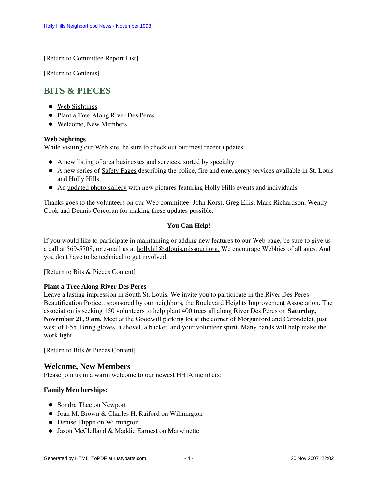[\[Return to Committee Report List\]](#page-1-3)

[\[Return to Contents\]](#page-0-1)

# <span id="page-3-4"></span><span id="page-3-0"></span>**BITS & PIECES**

- [Web Sightings](#page-3-1)
- [Plant a Tree Along River Des Peres](#page-3-2)
- [Welcome, New Members](#page-3-3)

#### <span id="page-3-1"></span>**Web Sightings**

While visiting our Web site, be sure to check out our most recent updates:

- A new listing of area businesses and services, sorted by specialty
- A new series of Safety Pages describing the police, fire and emergency services available in St. Louis and Holly Hills
- An updated photo gallery with new pictures featuring Holly Hills events and individuals

Thanks goes to the volunteers on our Web committee: John Korst, Greg Ellis, Mark Richardson, Wendy Cook and Dennis Corcoran for making these updates possible.

#### **You Can Help!**

If you would like to participate in maintaining or adding new features to our Web page, be sure to give us a call at 569-5708, or e-mail us at hollyhil@stlouis.missouri.org. We encourage Webbies of all ages. And you dont have to be technical to get involved.

#### [\[Return to Bits & Pieces Content\]](#page-3-4)

#### <span id="page-3-2"></span>**Plant a Tree Along River Des Peres**

Leave a lasting impression in South St. Louis. We invite you to participate in the River Des Peres Beautification Project, sponsored by our neighbors, the Boulevard Heights Improvement Association. The association is seeking 150 volunteers to help plant 400 trees all along River Des Peres on **Saturday, November 21, 9 am.** Meet at the Goodwill parking lot at the corner of Morganford and Carondelet, just west of I-55. Bring gloves, a shovel, a bucket, and your volunteer spirit. Many hands will help make the work light.

[\[Return to Bits & Pieces Content\]](#page-3-4)

#### <span id="page-3-3"></span>**Welcome, New Members**

Please join us in a warm welcome to our newest HHIA members:

#### **Family Memberships:**

- Sondra Thee on Newport
- Joan M. Brown & Charles H. Raiford on Wilmington
- Denise Flippo on Wilmington
- Jason McClelland & Maddie Earnest on Marwinette